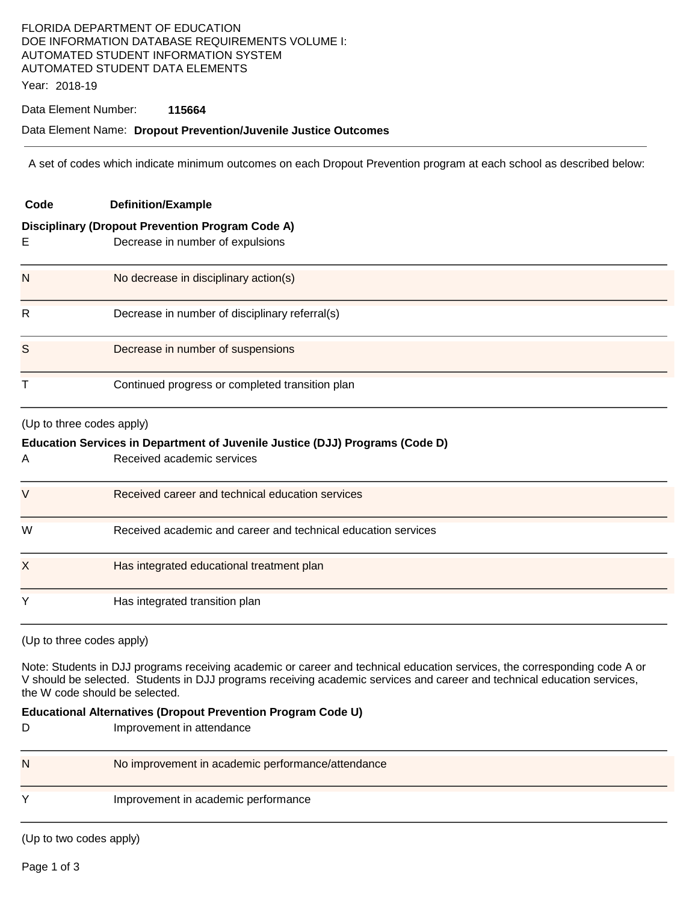# FLORIDA DEPARTMENT OF EDUCATION DOE INFORMATION DATABASE REQUIREMENTS VOLUME I: AUTOMATED STUDENT INFORMATION SYSTEM AUTOMATED STUDENT DATA ELEMENTS

Year: 2018-19

#### Data Element Number: **115664**

### Data Element Name: **Dropout Prevention/Juvenile Justice Outcomes**

A set of codes which indicate minimum outcomes on each Dropout Prevention program at each school as described below:

| Code                                                                         | <b>Definition/Example</b>                                     |  |  |  |
|------------------------------------------------------------------------------|---------------------------------------------------------------|--|--|--|
| <b>Disciplinary (Dropout Prevention Program Code A)</b>                      |                                                               |  |  |  |
| E                                                                            | Decrease in number of expulsions                              |  |  |  |
| N                                                                            | No decrease in disciplinary action(s)                         |  |  |  |
| $\mathsf{R}$                                                                 | Decrease in number of disciplinary referral(s)                |  |  |  |
| S                                                                            | Decrease in number of suspensions                             |  |  |  |
| Т                                                                            | Continued progress or completed transition plan               |  |  |  |
| (Up to three codes apply)                                                    |                                                               |  |  |  |
| Education Services in Department of Juvenile Justice (DJJ) Programs (Code D) |                                                               |  |  |  |
| A                                                                            | Received academic services                                    |  |  |  |
| V                                                                            | Received career and technical education services              |  |  |  |
| W                                                                            | Received academic and career and technical education services |  |  |  |
| X                                                                            | Has integrated educational treatment plan                     |  |  |  |
| Y                                                                            | Has integrated transition plan                                |  |  |  |

(Up to three codes apply)

Note: Students in DJJ programs receiving academic or career and technical education services, the corresponding code A or V should be selected. Students in DJJ programs receiving academic services and career and technical education services, the W code should be selected.

#### **Educational Alternatives (Dropout Prevention Program Code U)**

D **Improvement in attendance** 

| N | No improvement in academic performance/attendance |
|---|---------------------------------------------------|
|   | Improvement in academic performance               |

(Up to two codes apply)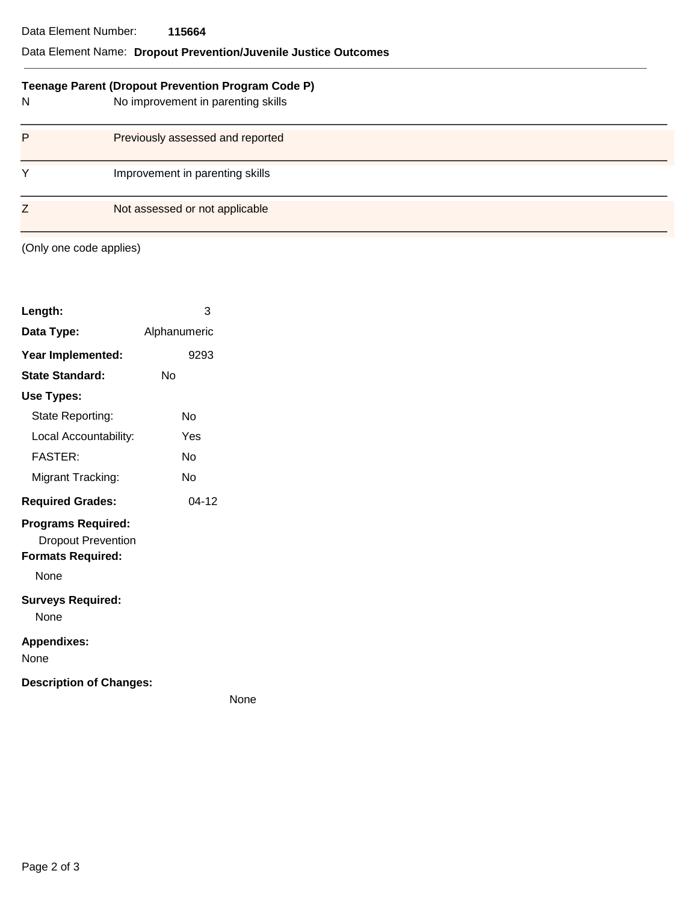#### Data Element Number: **115664**

## Data Element Name: **Dropout Prevention/Juvenile Justice Outcomes**

| Teenage Parent (Dropout Prevention Program Code P) |                                    |  |  |
|----------------------------------------------------|------------------------------------|--|--|
| N                                                  | No improvement in parenting skills |  |  |
| P                                                  | Previously assessed and reported   |  |  |
| Y                                                  | Improvement in parenting skills    |  |  |
| Ζ                                                  | Not assessed or not applicable     |  |  |

(Only one code applies)

| Length:                                                                            | 3            |
|------------------------------------------------------------------------------------|--------------|
| Data Type:                                                                         | Alphanumeric |
| Year Implemented:                                                                  | 9293         |
| <b>State Standard:</b>                                                             | Nο           |
| Use Types:                                                                         |              |
| State Reporting:                                                                   | N٥           |
| Local Accountability:                                                              | Yes          |
| FASTFR·                                                                            | N٥           |
| Migrant Tracking:                                                                  | N٥           |
| <b>Required Grades:</b>                                                            | $04-12$      |
| <b>Programs Required:</b><br><b>Dropout Prevention</b><br><b>Formats Required:</b> |              |
| None                                                                               |              |
| <b>Surveys Required:</b><br>None                                                   |              |
| <b>Appendixes:</b><br>None                                                         |              |
| <b>Description of Changes:</b>                                                     |              |

None